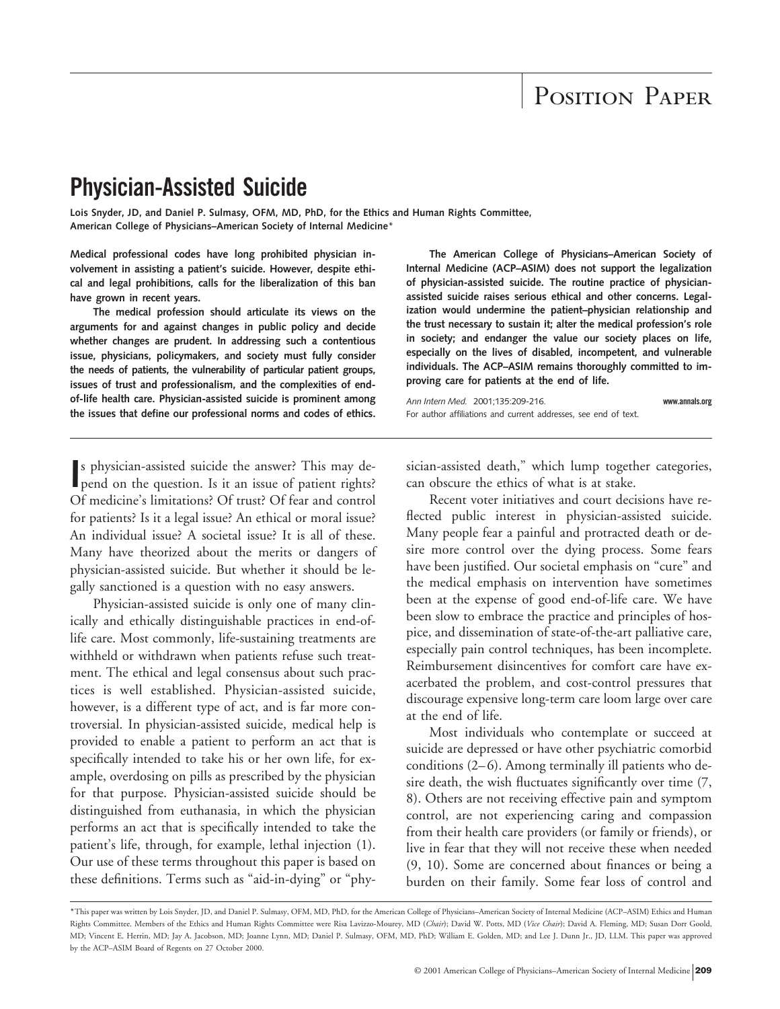# POSITION PAPER

## **Physician-Assisted Suicide**

**Lois Snyder, JD, and Daniel P. Sulmasy, OFM, MD, PhD, for the Ethics and Human Rights Committee, American College of Physicians–American Society of Internal Medicine**\*

**Medical professional codes have long prohibited physician involvement in assisting a patient's suicide. However, despite ethical and legal prohibitions, calls for the liberalization of this ban have grown in recent years.**

**The medical profession should articulate its views on the arguments for and against changes in public policy and decide whether changes are prudent. In addressing such a contentious issue, physicians, policymakers, and society must fully consider the needs of patients, the vulnerability of particular patient groups, issues of trust and professionalism, and the complexities of endof-life health care. Physician-assisted suicide is prominent among the issues that define our professional norms and codes of ethics.**

**The American College of Physicians–American Society of Internal Medicine (ACP–ASIM) does not support the legalization of physician-assisted suicide. The routine practice of physicianassisted suicide raises serious ethical and other concerns. Legalization would undermine the patient–physician relationship and the trust necessary to sustain it; alter the medical profession's role in society; and endanger the value our society places on life, especially on the lives of disabled, incompetent, and vulnerable individuals. The ACP–ASIM remains thoroughly committed to improving care for patients at the end of life.**

*Ann Intern Med.* 2001;135:209-216. **www.annals.org** For author affiliations and current addresses, see end of text.

**I**s physician-assisted suicide the answer? This may depend on the question. Is it an issue of patient rights? pend on the question. Is it an issue of patient rights? Of medicine's limitations? Of trust? Of fear and control for patients? Is it a legal issue? An ethical or moral issue? An individual issue? A societal issue? It is all of these. Many have theorized about the merits or dangers of physician-assisted suicide. But whether it should be legally sanctioned is a question with no easy answers.

Physician-assisted suicide is only one of many clinically and ethically distinguishable practices in end-oflife care. Most commonly, life-sustaining treatments are withheld or withdrawn when patients refuse such treatment. The ethical and legal consensus about such practices is well established. Physician-assisted suicide, however, is a different type of act, and is far more controversial. In physician-assisted suicide, medical help is provided to enable a patient to perform an act that is specifically intended to take his or her own life, for example, overdosing on pills as prescribed by the physician for that purpose. Physician-assisted suicide should be distinguished from euthanasia, in which the physician performs an act that is specifically intended to take the patient's life, through, for example, lethal injection (1). Our use of these terms throughout this paper is based on these definitions. Terms such as "aid-in-dying" or "physician-assisted death," which lump together categories, can obscure the ethics of what is at stake.

Recent voter initiatives and court decisions have reflected public interest in physician-assisted suicide. Many people fear a painful and protracted death or desire more control over the dying process. Some fears have been justified. Our societal emphasis on "cure" and the medical emphasis on intervention have sometimes been at the expense of good end-of-life care. We have been slow to embrace the practice and principles of hospice, and dissemination of state-of-the-art palliative care, especially pain control techniques, has been incomplete. Reimbursement disincentives for comfort care have exacerbated the problem, and cost-control pressures that discourage expensive long-term care loom large over care at the end of life.

Most individuals who contemplate or succeed at suicide are depressed or have other psychiatric comorbid conditions (2–6). Among terminally ill patients who desire death, the wish fluctuates significantly over time (7, 8). Others are not receiving effective pain and symptom control, are not experiencing caring and compassion from their health care providers (or family or friends), or live in fear that they will not receive these when needed (9, 10). Some are concerned about finances or being a burden on their family. Some fear loss of control and

<sup>\*</sup>This paper was written by Lois Snyder, JD, and Daniel P. Sulmasy, OFM, MD, PhD, for the American College of Physicians–American Society of Internal Medicine (ACP–ASIM) Ethics and Human Rights Committee. Members of the Ethics and Human Rights Committee were Risa Lavizzo-Mourey, MD (*Chair*); David W. Potts, MD (*Vice Chair*); David A. Fleming, MD; Susan Dorr Goold, MD; Vincent E. Herrin, MD; Jay A. Jacobson, MD; Joanne Lynn, MD; Daniel P. Sulmasy, OFM, MD, PhD; William E. Golden, MD; and Lee J. Dunn Jr., JD, LLM. This paper was approved by the ACP–ASIM Board of Regents on 27 October 2000.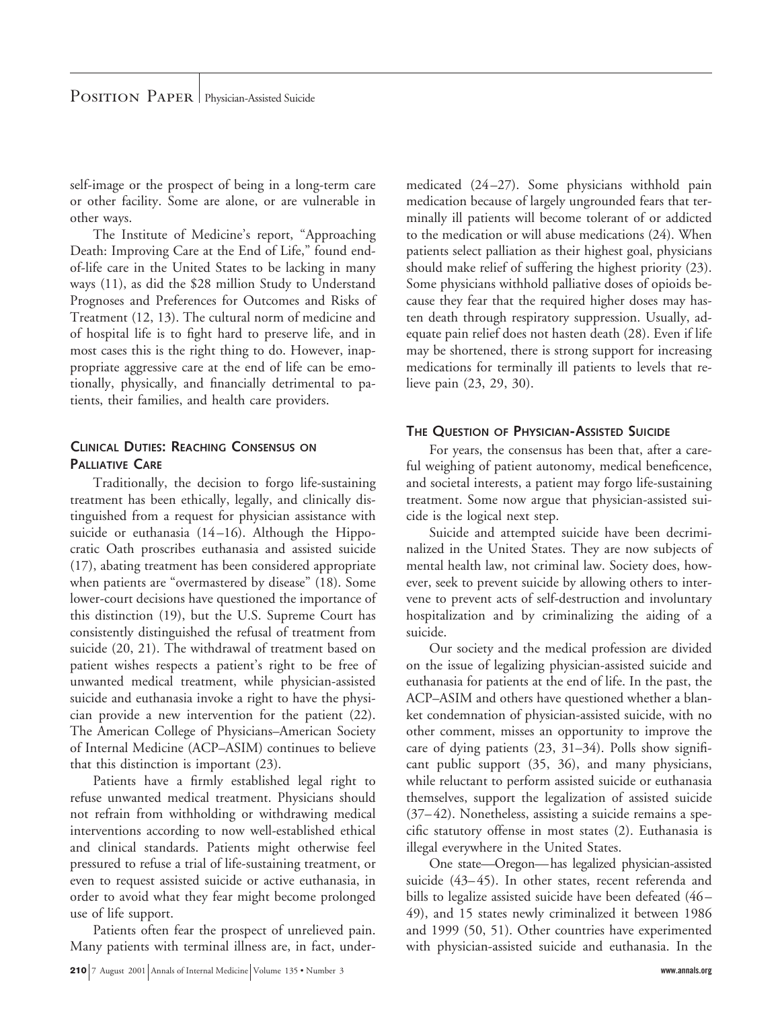self-image or the prospect of being in a long-term care or other facility. Some are alone, or are vulnerable in other ways.

The Institute of Medicine's report, "Approaching Death: Improving Care at the End of Life," found endof-life care in the United States to be lacking in many ways (11), as did the \$28 million Study to Understand Prognoses and Preferences for Outcomes and Risks of Treatment (12, 13). The cultural norm of medicine and of hospital life is to fight hard to preserve life, and in most cases this is the right thing to do. However, inappropriate aggressive care at the end of life can be emotionally, physically, and financially detrimental to patients, their families, and health care providers.

#### **CLINICAL DUTIES: REACHING CONSENSUS ON PALLIATIVE CARE**

Traditionally, the decision to forgo life-sustaining treatment has been ethically, legally, and clinically distinguished from a request for physician assistance with suicide or euthanasia (14–16). Although the Hippocratic Oath proscribes euthanasia and assisted suicide (17), abating treatment has been considered appropriate when patients are "overmastered by disease" (18). Some lower-court decisions have questioned the importance of this distinction (19), but the U.S. Supreme Court has consistently distinguished the refusal of treatment from suicide (20, 21). The withdrawal of treatment based on patient wishes respects a patient's right to be free of unwanted medical treatment, while physician-assisted suicide and euthanasia invoke a right to have the physician provide a new intervention for the patient (22). The American College of Physicians–American Society of Internal Medicine (ACP–ASIM) continues to believe that this distinction is important (23).

Patients have a firmly established legal right to refuse unwanted medical treatment. Physicians should not refrain from withholding or withdrawing medical interventions according to now well-established ethical and clinical standards. Patients might otherwise feel pressured to refuse a trial of life-sustaining treatment, or even to request assisted suicide or active euthanasia, in order to avoid what they fear might become prolonged use of life support.

Patients often fear the prospect of unrelieved pain. Many patients with terminal illness are, in fact, undermedicated (24–27). Some physicians withhold pain medication because of largely ungrounded fears that terminally ill patients will become tolerant of or addicted to the medication or will abuse medications (24). When patients select palliation as their highest goal, physicians should make relief of suffering the highest priority (23). Some physicians withhold palliative doses of opioids because they fear that the required higher doses may hasten death through respiratory suppression. Usually, adequate pain relief does not hasten death (28). Even if life may be shortened, there is strong support for increasing medications for terminally ill patients to levels that relieve pain (23, 29, 30).

#### **THE QUESTION OF PHYSICIAN-ASSISTED SUICIDE**

For years, the consensus has been that, after a careful weighing of patient autonomy, medical beneficence, and societal interests, a patient may forgo life-sustaining treatment. Some now argue that physician-assisted suicide is the logical next step.

Suicide and attempted suicide have been decriminalized in the United States. They are now subjects of mental health law, not criminal law. Society does, however, seek to prevent suicide by allowing others to intervene to prevent acts of self-destruction and involuntary hospitalization and by criminalizing the aiding of a suicide.

Our society and the medical profession are divided on the issue of legalizing physician-assisted suicide and euthanasia for patients at the end of life. In the past, the ACP–ASIM and others have questioned whether a blanket condemnation of physician-assisted suicide, with no other comment, misses an opportunity to improve the care of dying patients (23, 31–34). Polls show significant public support (35, 36), and many physicians, while reluctant to perform assisted suicide or euthanasia themselves, support the legalization of assisted suicide (37–42). Nonetheless, assisting a suicide remains a specific statutory offense in most states (2). Euthanasia is illegal everywhere in the United States.

One state—Oregon—has legalized physician-assisted suicide (43–45). In other states, recent referenda and bills to legalize assisted suicide have been defeated (46– 49), and 15 states newly criminalized it between 1986 and 1999 (50, 51). Other countries have experimented with physician-assisted suicide and euthanasia. In the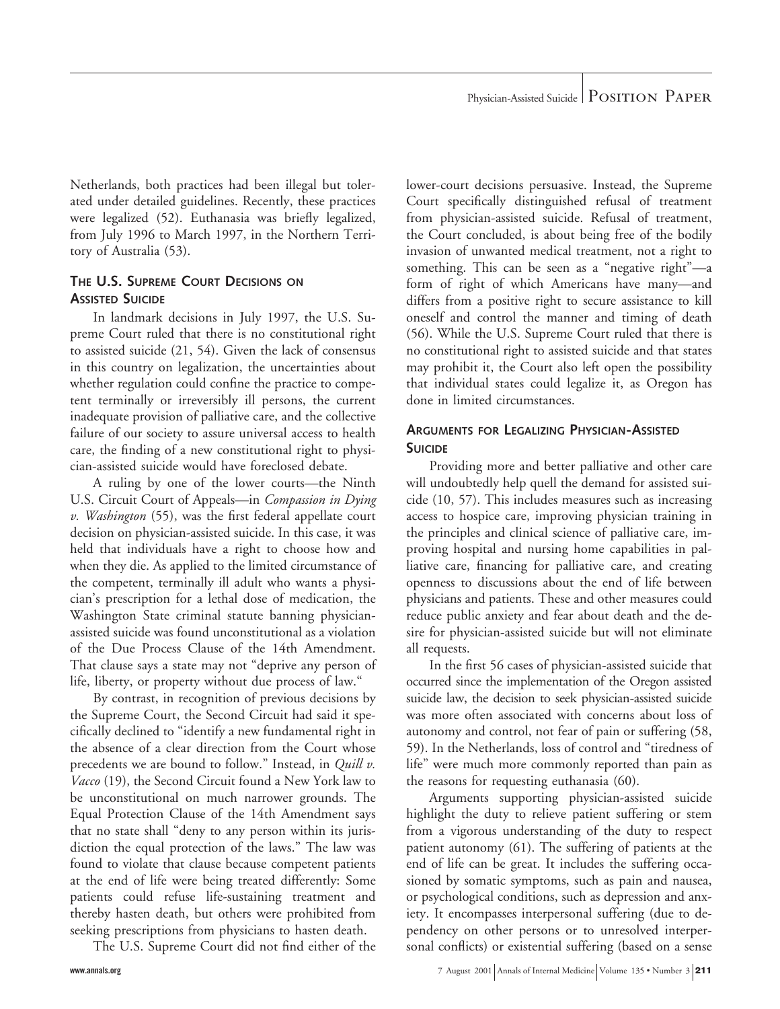Netherlands, both practices had been illegal but tolerated under detailed guidelines. Recently, these practices were legalized (52). Euthanasia was briefly legalized, from July 1996 to March 1997, in the Northern Territory of Australia (53).

#### **THE U.S. SUPREME COURT DECISIONS ON ASSISTED SUICIDE**

In landmark decisions in July 1997, the U.S. Supreme Court ruled that there is no constitutional right to assisted suicide (21, 54). Given the lack of consensus in this country on legalization, the uncertainties about whether regulation could confine the practice to competent terminally or irreversibly ill persons, the current inadequate provision of palliative care, and the collective failure of our society to assure universal access to health care, the finding of a new constitutional right to physician-assisted suicide would have foreclosed debate.

A ruling by one of the lower courts—the Ninth U.S. Circuit Court of Appeals—in *Compassion in Dying v. Washington* (55), was the first federal appellate court decision on physician-assisted suicide. In this case, it was held that individuals have a right to choose how and when they die. As applied to the limited circumstance of the competent, terminally ill adult who wants a physician's prescription for a lethal dose of medication, the Washington State criminal statute banning physicianassisted suicide was found unconstitutional as a violation of the Due Process Clause of the 14th Amendment. That clause says a state may not "deprive any person of life, liberty, or property without due process of law."

By contrast, in recognition of previous decisions by the Supreme Court, the Second Circuit had said it specifically declined to "identify a new fundamental right in the absence of a clear direction from the Court whose precedents we are bound to follow." Instead, in *Quill v. Vacco* (19), the Second Circuit found a New York law to be unconstitutional on much narrower grounds. The Equal Protection Clause of the 14th Amendment says that no state shall "deny to any person within its jurisdiction the equal protection of the laws." The law was found to violate that clause because competent patients at the end of life were being treated differently: Some patients could refuse life-sustaining treatment and thereby hasten death, but others were prohibited from seeking prescriptions from physicians to hasten death.

The U.S. Supreme Court did not find either of the

lower-court decisions persuasive. Instead, the Supreme Court specifically distinguished refusal of treatment from physician-assisted suicide. Refusal of treatment, the Court concluded, is about being free of the bodily invasion of unwanted medical treatment, not a right to something. This can be seen as a "negative right"—a form of right of which Americans have many—and differs from a positive right to secure assistance to kill oneself and control the manner and timing of death (56). While the U.S. Supreme Court ruled that there is no constitutional right to assisted suicide and that states may prohibit it, the Court also left open the possibility that individual states could legalize it, as Oregon has done in limited circumstances.

#### **ARGUMENTS FOR LEGALIZING PHYSICIAN-ASSISTED SUICIDE**

Providing more and better palliative and other care will undoubtedly help quell the demand for assisted suicide (10, 57). This includes measures such as increasing access to hospice care, improving physician training in the principles and clinical science of palliative care, improving hospital and nursing home capabilities in palliative care, financing for palliative care, and creating openness to discussions about the end of life between physicians and patients. These and other measures could reduce public anxiety and fear about death and the desire for physician-assisted suicide but will not eliminate all requests.

In the first 56 cases of physician-assisted suicide that occurred since the implementation of the Oregon assisted suicide law, the decision to seek physician-assisted suicide was more often associated with concerns about loss of autonomy and control, not fear of pain or suffering (58, 59). In the Netherlands, loss of control and "tiredness of life" were much more commonly reported than pain as the reasons for requesting euthanasia (60).

Arguments supporting physician-assisted suicide highlight the duty to relieve patient suffering or stem from a vigorous understanding of the duty to respect patient autonomy (61). The suffering of patients at the end of life can be great. It includes the suffering occasioned by somatic symptoms, such as pain and nausea, or psychological conditions, such as depression and anxiety. It encompasses interpersonal suffering (due to dependency on other persons or to unresolved interpersonal conflicts) or existential suffering (based on a sense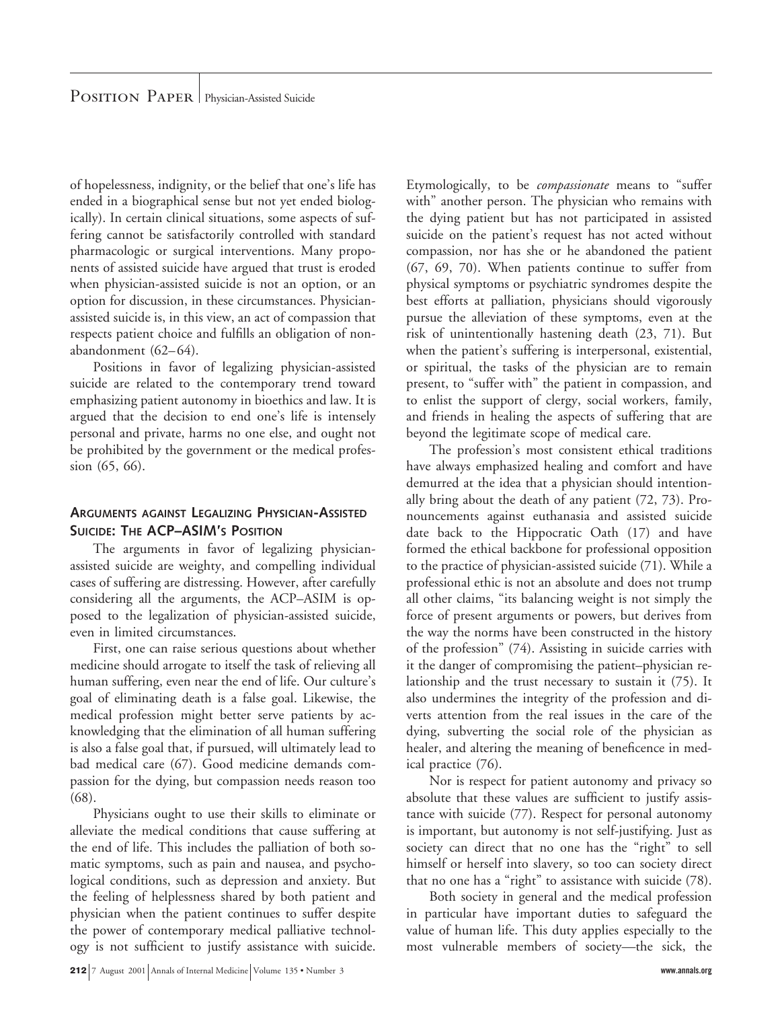of hopelessness, indignity, or the belief that one's life has ended in a biographical sense but not yet ended biologically). In certain clinical situations, some aspects of suffering cannot be satisfactorily controlled with standard pharmacologic or surgical interventions. Many proponents of assisted suicide have argued that trust is eroded when physician-assisted suicide is not an option, or an option for discussion, in these circumstances. Physicianassisted suicide is, in this view, an act of compassion that respects patient choice and fulfills an obligation of nonabandonment (62–64).

Positions in favor of legalizing physician-assisted suicide are related to the contemporary trend toward emphasizing patient autonomy in bioethics and law. It is argued that the decision to end one's life is intensely personal and private, harms no one else, and ought not be prohibited by the government or the medical profession (65, 66).

#### **ARGUMENTS AGAINST LEGALIZING PHYSICIAN-ASSISTED SUICIDE: THE ACP–ASIM'S POSITION**

The arguments in favor of legalizing physicianassisted suicide are weighty, and compelling individual cases of suffering are distressing. However, after carefully considering all the arguments, the ACP–ASIM is opposed to the legalization of physician-assisted suicide, even in limited circumstances.

First, one can raise serious questions about whether medicine should arrogate to itself the task of relieving all human suffering, even near the end of life. Our culture's goal of eliminating death is a false goal. Likewise, the medical profession might better serve patients by acknowledging that the elimination of all human suffering is also a false goal that, if pursued, will ultimately lead to bad medical care (67). Good medicine demands compassion for the dying, but compassion needs reason too (68).

Physicians ought to use their skills to eliminate or alleviate the medical conditions that cause suffering at the end of life. This includes the palliation of both somatic symptoms, such as pain and nausea, and psychological conditions, such as depression and anxiety. But the feeling of helplessness shared by both patient and physician when the patient continues to suffer despite the power of contemporary medical palliative technology is not sufficient to justify assistance with suicide.

Etymologically, to be *compassionate* means to "suffer with" another person. The physician who remains with the dying patient but has not participated in assisted suicide on the patient's request has not acted without compassion, nor has she or he abandoned the patient (67, 69, 70). When patients continue to suffer from physical symptoms or psychiatric syndromes despite the best efforts at palliation, physicians should vigorously pursue the alleviation of these symptoms, even at the risk of unintentionally hastening death (23, 71). But when the patient's suffering is interpersonal, existential, or spiritual, the tasks of the physician are to remain present, to "suffer with" the patient in compassion, and to enlist the support of clergy, social workers, family, and friends in healing the aspects of suffering that are beyond the legitimate scope of medical care.

The profession's most consistent ethical traditions have always emphasized healing and comfort and have demurred at the idea that a physician should intentionally bring about the death of any patient (72, 73). Pronouncements against euthanasia and assisted suicide date back to the Hippocratic Oath (17) and have formed the ethical backbone for professional opposition to the practice of physician-assisted suicide (71). While a professional ethic is not an absolute and does not trump all other claims, "its balancing weight is not simply the force of present arguments or powers, but derives from the way the norms have been constructed in the history of the profession" (74). Assisting in suicide carries with it the danger of compromising the patient–physician relationship and the trust necessary to sustain it (75). It also undermines the integrity of the profession and diverts attention from the real issues in the care of the dying, subverting the social role of the physician as healer, and altering the meaning of beneficence in medical practice (76).

Nor is respect for patient autonomy and privacy so absolute that these values are sufficient to justify assistance with suicide (77). Respect for personal autonomy is important, but autonomy is not self-justifying. Just as society can direct that no one has the "right" to sell himself or herself into slavery, so too can society direct that no one has a "right" to assistance with suicide (78).

Both society in general and the medical profession in particular have important duties to safeguard the value of human life. This duty applies especially to the most vulnerable members of society—the sick, the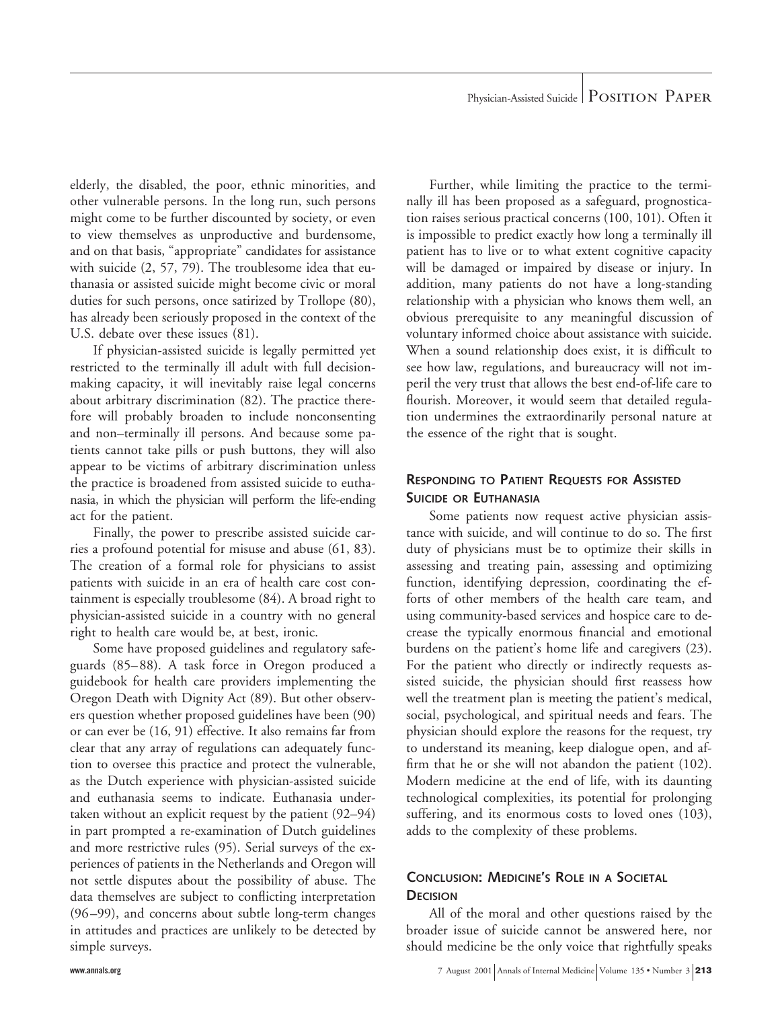elderly, the disabled, the poor, ethnic minorities, and other vulnerable persons. In the long run, such persons might come to be further discounted by society, or even to view themselves as unproductive and burdensome, and on that basis, "appropriate" candidates for assistance with suicide (2, 57, 79). The troublesome idea that euthanasia or assisted suicide might become civic or moral duties for such persons, once satirized by Trollope (80), has already been seriously proposed in the context of the U.S. debate over these issues (81).

If physician-assisted suicide is legally permitted yet restricted to the terminally ill adult with full decisionmaking capacity, it will inevitably raise legal concerns about arbitrary discrimination (82). The practice therefore will probably broaden to include nonconsenting and non–terminally ill persons. And because some patients cannot take pills or push buttons, they will also appear to be victims of arbitrary discrimination unless the practice is broadened from assisted suicide to euthanasia, in which the physician will perform the life-ending act for the patient.

Finally, the power to prescribe assisted suicide carries a profound potential for misuse and abuse (61, 83). The creation of a formal role for physicians to assist patients with suicide in an era of health care cost containment is especially troublesome (84). A broad right to physician-assisted suicide in a country with no general right to health care would be, at best, ironic.

Some have proposed guidelines and regulatory safeguards (85–88). A task force in Oregon produced a guidebook for health care providers implementing the Oregon Death with Dignity Act (89). But other observers question whether proposed guidelines have been (90) or can ever be (16, 91) effective. It also remains far from clear that any array of regulations can adequately function to oversee this practice and protect the vulnerable, as the Dutch experience with physician-assisted suicide and euthanasia seems to indicate. Euthanasia undertaken without an explicit request by the patient (92–94) in part prompted a re-examination of Dutch guidelines and more restrictive rules (95). Serial surveys of the experiences of patients in the Netherlands and Oregon will not settle disputes about the possibility of abuse. The data themselves are subject to conflicting interpretation (96–99), and concerns about subtle long-term changes in attitudes and practices are unlikely to be detected by simple surveys.

Further, while limiting the practice to the terminally ill has been proposed as a safeguard, prognostication raises serious practical concerns (100, 101). Often it is impossible to predict exactly how long a terminally ill patient has to live or to what extent cognitive capacity will be damaged or impaired by disease or injury. In addition, many patients do not have a long-standing relationship with a physician who knows them well, an obvious prerequisite to any meaningful discussion of voluntary informed choice about assistance with suicide. When a sound relationship does exist, it is difficult to see how law, regulations, and bureaucracy will not imperil the very trust that allows the best end-of-life care to flourish. Moreover, it would seem that detailed regulation undermines the extraordinarily personal nature at the essence of the right that is sought.

#### **RESPONDING TO PATIENT REQUESTS FOR ASSISTED SUICIDE OR EUTHANASIA**

Some patients now request active physician assistance with suicide, and will continue to do so. The first duty of physicians must be to optimize their skills in assessing and treating pain, assessing and optimizing function, identifying depression, coordinating the efforts of other members of the health care team, and using community-based services and hospice care to decrease the typically enormous financial and emotional burdens on the patient's home life and caregivers (23). For the patient who directly or indirectly requests assisted suicide, the physician should first reassess how well the treatment plan is meeting the patient's medical, social, psychological, and spiritual needs and fears. The physician should explore the reasons for the request, try to understand its meaning, keep dialogue open, and affirm that he or she will not abandon the patient (102). Modern medicine at the end of life, with its daunting technological complexities, its potential for prolonging suffering, and its enormous costs to loved ones (103), adds to the complexity of these problems.

### **CONCLUSION: MEDICINE'S ROLE IN A SOCIETAL DECISION**

All of the moral and other questions raised by the broader issue of suicide cannot be answered here, nor should medicine be the only voice that rightfully speaks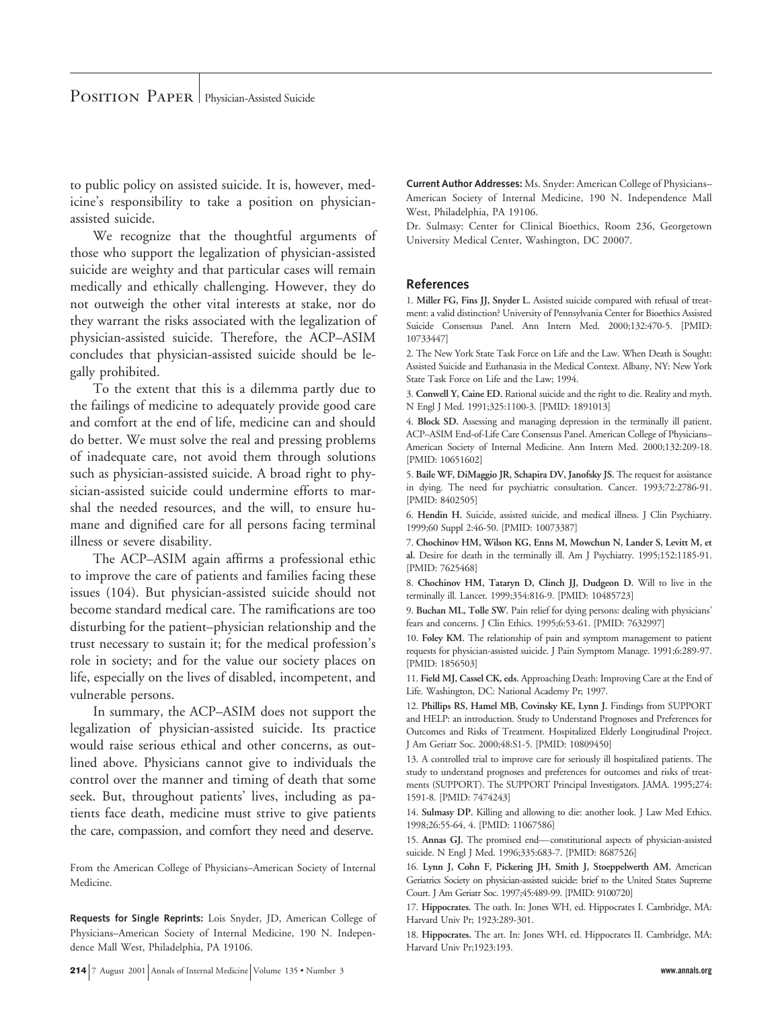to public policy on assisted suicide. It is, however, medicine's responsibility to take a position on physicianassisted suicide.

We recognize that the thoughtful arguments of those who support the legalization of physician-assisted suicide are weighty and that particular cases will remain medically and ethically challenging. However, they do not outweigh the other vital interests at stake, nor do they warrant the risks associated with the legalization of physician-assisted suicide. Therefore, the ACP–ASIM concludes that physician-assisted suicide should be legally prohibited.

To the extent that this is a dilemma partly due to the failings of medicine to adequately provide good care and comfort at the end of life, medicine can and should do better. We must solve the real and pressing problems of inadequate care, not avoid them through solutions such as physician-assisted suicide. A broad right to physician-assisted suicide could undermine efforts to marshal the needed resources, and the will, to ensure humane and dignified care for all persons facing terminal illness or severe disability.

The ACP–ASIM again affirms a professional ethic to improve the care of patients and families facing these issues (104). But physician-assisted suicide should not become standard medical care. The ramifications are too disturbing for the patient–physician relationship and the trust necessary to sustain it; for the medical profession's role in society; and for the value our society places on life, especially on the lives of disabled, incompetent, and vulnerable persons.

In summary, the ACP–ASIM does not support the legalization of physician-assisted suicide. Its practice would raise serious ethical and other concerns, as outlined above. Physicians cannot give to individuals the control over the manner and timing of death that some seek. But, throughout patients' lives, including as patients face death, medicine must strive to give patients the care, compassion, and comfort they need and deserve.

From the American College of Physicians–American Society of Internal Medicine.

**Requests for Single Reprints:** Lois Snyder, JD, American College of Physicians–American Society of Internal Medicine, 190 N. Independence Mall West, Philadelphia, PA 19106.

**Current Author Addresses:** Ms. Snyder: American College of Physicians– American Society of Internal Medicine, 190 N. Independence Mall West, Philadelphia, PA 19106.

Dr. Sulmasy: Center for Clinical Bioethics, Room 236, Georgetown University Medical Center, Washington, DC 20007.

#### **References**

1. **Miller FG, Fins JJ, Snyder L.** Assisted suicide compared with refusal of treatment: a valid distinction? University of Pennsylvania Center for Bioethics Assisted Suicide Consensus Panel. Ann Intern Med. 2000;132:470-5. [PMID: 10733447]

2. The New York State Task Force on Life and the Law. When Death is Sought: Assisted Suicide and Euthanasia in the Medical Context. Albany, NY: New York State Task Force on Life and the Law; 1994.

3. **Conwell Y, Caine ED.** Rational suicide and the right to die. Reality and myth. N Engl J Med. 1991;325:1100-3. [PMID: 1891013]

4. **Block SD.** Assessing and managing depression in the terminally ill patient. ACP–ASIM End-of-Life Care Consensus Panel. American College of Physicians– American Society of Internal Medicine. Ann Intern Med. 2000;132:209-18. [PMID: 10651602]

5. **Baile WF, DiMaggio JR, Schapira DV, Janofsky JS.** The request for assistance in dying. The need for psychiatric consultation. Cancer. 1993;72:2786-91. [PMID: 8402505]

6. **Hendin H.** Suicide, assisted suicide, and medical illness. J Clin Psychiatry. 1999;60 Suppl 2:46-50. [PMID: 10073387]

7. **Chochinov HM, Wilson KG, Enns M, Mowchun N, Lander S, Levitt M, et al.** Desire for death in the terminally ill. Am J Psychiatry. 1995;152:1185-91. [PMID: 7625468]

8. **Chochinov HM, Tataryn D, Clinch JJ, Dudgeon D.** Will to live in the terminally ill. Lancet. 1999;354:816-9. [PMID: 10485723]

9. **Buchan ML, Tolle SW.** Pain relief for dying persons: dealing with physicians' fears and concerns. J Clin Ethics. 1995;6:53-61. [PMID: 7632997]

10. **Foley KM.** The relationship of pain and symptom management to patient requests for physician-assisted suicide. J Pain Symptom Manage. 1991;6:289-97. [PMID: 1856503]

11. **Field MJ, Cassel CK, eds.** Approaching Death: Improving Care at the End of Life. Washington, DC: National Academy Pr; 1997.

12. **Phillips RS, Hamel MB, Covinsky KE, Lynn J.** Findings from SUPPORT and HELP: an introduction. Study to Understand Prognoses and Preferences for Outcomes and Risks of Treatment. Hospitalized Elderly Longitudinal Project. J Am Geriatr Soc. 2000;48:S1-5. [PMID: 10809450]

13. A controlled trial to improve care for seriously ill hospitalized patients. The study to understand prognoses and preferences for outcomes and risks of treatments (SUPPORT). The SUPPORT Principal Investigators. JAMA. 1995;274: 1591-8. [PMID: 7474243]

14. **Sulmasy DP.** Killing and allowing to die: another look. J Law Med Ethics. 1998;26:55-64, 4. [PMID: 11067586]

15. **Annas GJ.** The promised end—constitutional aspects of physician-assisted suicide. N Engl J Med. 1996;335:683-7. [PMID: 8687526]

16. **Lynn J, Cohn F, Pickering JH, Smith J, Stoeppelwerth AM.** American Geriatrics Society on physician-assisted suicide: brief to the United States Supreme Court. J Am Geriatr Soc. 1997;45:489-99. [PMID: 9100720]

17. **Hippocrates.** The oath. In: Jones WH, ed. Hippocrates I. Cambridge, MA: Harvard Univ Pr; 1923:289-301.

18. **Hippocrates.** The art. In: Jones WH, ed. Hippocrates II. Cambridge, MA: Harvard Univ Pr;1923:193.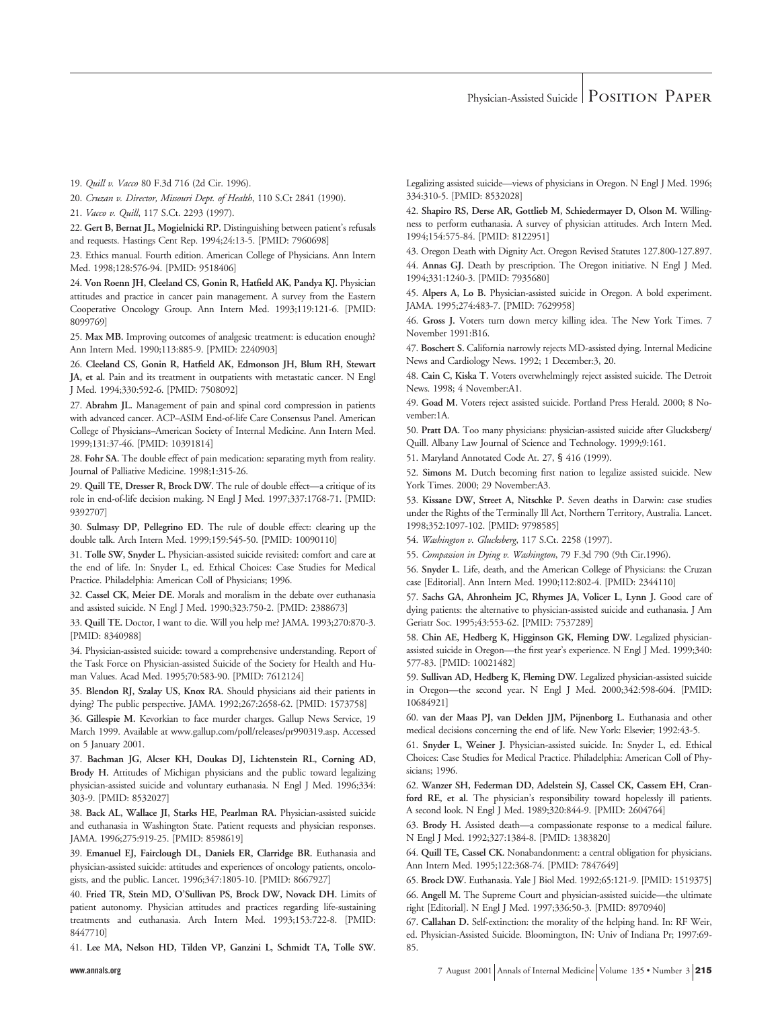19. *Quill v. Vacco* 80 F.3d 716 (2d Cir. 1996).

20. *Cruzan v. Director, Missouri Dept. of Health*, 110 S.Ct 2841 (1990).

21. *Vacco v. Quill*, 117 S.Ct. 2293 (1997).

22. **Gert B, Bernat JL, Mogielnicki RP.** Distinguishing between patient's refusals and requests. Hastings Cent Rep. 1994;24:13-5. [PMID: 7960698]

23. Ethics manual. Fourth edition. American College of Physicians. Ann Intern Med. 1998;128:576-94. [PMID: 9518406]

24. **Von Roenn JH, Cleeland CS, Gonin R, Hatfield AK, Pandya KJ.** Physician attitudes and practice in cancer pain management. A survey from the Eastern Cooperative Oncology Group. Ann Intern Med. 1993;119:121-6. [PMID: 8099769]

25. **Max MB.** Improving outcomes of analgesic treatment: is education enough? Ann Intern Med. 1990;113:885-9. [PMID: 2240903]

26. **Cleeland CS, Gonin R, Hatfield AK, Edmonson JH, Blum RH, Stewart JA, et al.** Pain and its treatment in outpatients with metastatic cancer. N Engl J Med. 1994;330:592-6. [PMID: 7508092]

27. **Abrahm JL.** Management of pain and spinal cord compression in patients with advanced cancer. ACP–ASIM End-of-life Care Consensus Panel. American College of Physicians–American Society of Internal Medicine. Ann Intern Med. 1999;131:37-46. [PMID: 10391814]

28. **Fohr SA.** The double effect of pain medication: separating myth from reality. Journal of Palliative Medicine. 1998;1:315-26.

29. **Quill TE, Dresser R, Brock DW.** The rule of double effect—a critique of its role in end-of-life decision making. N Engl J Med. 1997;337:1768-71. [PMID: 9392707]

30. **Sulmasy DP, Pellegrino ED.** The rule of double effect: clearing up the double talk. Arch Intern Med. 1999;159:545-50. [PMID: 10090110]

31. **Tolle SW, Snyder L.** Physician-assisted suicide revisited: comfort and care at the end of life. In: Snyder L, ed. Ethical Choices: Case Studies for Medical Practice. Philadelphia: American Coll of Physicians; 1996.

32. **Cassel CK, Meier DE.** Morals and moralism in the debate over euthanasia and assisted suicide. N Engl J Med. 1990;323:750-2. [PMID: 2388673]

33. **Quill TE.** Doctor, I want to die. Will you help me? JAMA. 1993;270:870-3. [PMID: 8340988]

34. Physician-assisted suicide: toward a comprehensive understanding. Report of the Task Force on Physician-assisted Suicide of the Society for Health and Human Values. Acad Med. 1995;70:583-90. [PMID: 7612124]

35. **Blendon RJ, Szalay US, Knox RA.** Should physicians aid their patients in dying? The public perspective. JAMA. 1992;267:2658-62. [PMID: 1573758]

36. **Gillespie M.** Kevorkian to face murder charges. Gallup News Service, 19 March 1999. Available at www.gallup.com/poll/releases/pr990319.asp. Accessed on 5 January 2001.

37. **Bachman JG, Alcser KH, Doukas DJ, Lichtenstein RL, Corning AD, Brody H.** Attitudes of Michigan physicians and the public toward legalizing physician-assisted suicide and voluntary euthanasia. N Engl J Med. 1996;334: 303-9. [PMID: 8532027]

38. **Back AL, Wallace JI, Starks HE, Pearlman RA.** Physician-assisted suicide and euthanasia in Washington State. Patient requests and physician responses. JAMA. 1996;275:919-25. [PMID: 8598619]

39. **Emanuel EJ, Fairclough DL, Daniels ER, Clarridge BR.** Euthanasia and physician-assisted suicide: attitudes and experiences of oncology patients, oncologists, and the public. Lancet. 1996;347:1805-10. [PMID: 8667927]

40. **Fried TR, Stein MD, O'Sullivan PS, Brock DW, Novack DH.** Limits of patient autonomy. Physician attitudes and practices regarding life-sustaining treatments and euthanasia. Arch Intern Med. 1993;153:722-8. [PMID: 8447710]

41. **Lee MA, Nelson HD, Tilden VP, Ganzini L, Schmidt TA, Tolle SW.**

Legalizing assisted suicide—views of physicians in Oregon. N Engl J Med. 1996; 334:310-5. [PMID: 8532028]

42. **Shapiro RS, Derse AR, Gottlieb M, Schiedermayer D, Olson M.** Willingness to perform euthanasia. A survey of physician attitudes. Arch Intern Med. 1994;154:575-84. [PMID: 8122951]

43. Oregon Death with Dignity Act. Oregon Revised Statutes 127.800-127.897. 44. **Annas GJ.** Death by prescription. The Oregon initiative. N Engl J Med. 1994;331:1240-3. [PMID: 7935680]

45. **Alpers A, Lo B.** Physician-assisted suicide in Oregon. A bold experiment. JAMA. 1995;274:483-7. [PMID: 7629958]

46. **Gross J.** Voters turn down mercy killing idea. The New York Times. 7 November 1991:B16.

47. **Boschert S.** California narrowly rejects MD-assisted dying. Internal Medicine News and Cardiology News. 1992; 1 December:3, 20.

48. **Cain C, Kiska T.** Voters overwhelmingly reject assisted suicide. The Detroit News. 1998; 4 November:A1.

49. **Goad M.** Voters reject assisted suicide. Portland Press Herald. 2000; 8 November:1A.

50. **Pratt DA.** Too many physicians: physician-assisted suicide after Glucksberg/ Quill. Albany Law Journal of Science and Technology. 1999;9:161.

51. Maryland Annotated Code At. 27, § 416 (1999).

52. **Simons M.** Dutch becoming first nation to legalize assisted suicide. New York Times. 2000; 29 November:A3.

53. **Kissane DW, Street A, Nitschke P.** Seven deaths in Darwin: case studies under the Rights of the Terminally Ill Act, Northern Territory, Australia. Lancet. 1998;352:1097-102. [PMID: 9798585]

54. *Washington v. Glucksberg*, 117 S.Ct. 2258 (1997).

55. *Compassion in Dying v. Washington*, 79 F.3d 790 (9th Cir.1996).

56. **Snyder L.** Life, death, and the American College of Physicians: the Cruzan case [Editorial]. Ann Intern Med. 1990;112:802-4. [PMID: 2344110]

57. **Sachs GA, Ahronheim JC, Rhymes JA, Volicer L, Lynn J.** Good care of dying patients: the alternative to physician-assisted suicide and euthanasia. J Am Geriatr Soc. 1995;43:553-62. [PMID: 7537289]

58. **Chin AE, Hedberg K, Higginson GK, Fleming DW.** Legalized physicianassisted suicide in Oregon—the first year's experience. N Engl J Med. 1999;340: 577-83. [PMID: 10021482]

59. **Sullivan AD, Hedberg K, Fleming DW.** Legalized physician-assisted suicide in Oregon—the second year. N Engl J Med. 2000;342:598-604. [PMID: 10684921]

60. **van der Maas PJ, van Delden JJM, Pijnenborg L.** Euthanasia and other medical decisions concerning the end of life. New York: Elsevier; 1992:43-5.

61. **Snyder L, Weiner J.** Physician-assisted suicide. In: Snyder L, ed. Ethical Choices: Case Studies for Medical Practice. Philadelphia: American Coll of Physicians; 1996.

62. **Wanzer SH, Federman DD, Adelstein SJ, Cassel CK, Cassem EH, Cranford RE, et al.** The physician's responsibility toward hopelessly ill patients. A second look. N Engl J Med. 1989;320:844-9. [PMID: 2604764]

63. **Brody H.** Assisted death—a compassionate response to a medical failure. N Engl J Med. 1992;327:1384-8. [PMID: 1383820]

64. **Quill TE, Cassel CK.** Nonabandonment: a central obligation for physicians. Ann Intern Med. 1995;122:368-74. [PMID: 7847649]

65. **Brock DW.** Euthanasia. Yale J Biol Med. 1992;65:121-9. [PMID: 1519375] 66. **Angell M.** The Supreme Court and physician-assisted suicide—the ultimate right [Editorial]. N Engl J Med. 1997;336:50-3. [PMID: 8970940]

67. **Callahan D.** Self-extinction: the morality of the helping hand. In: RF Weir, ed. Physician-Assisted Suicide. Bloomington, IN: Univ of Indiana Pr; 1997:69- 85.